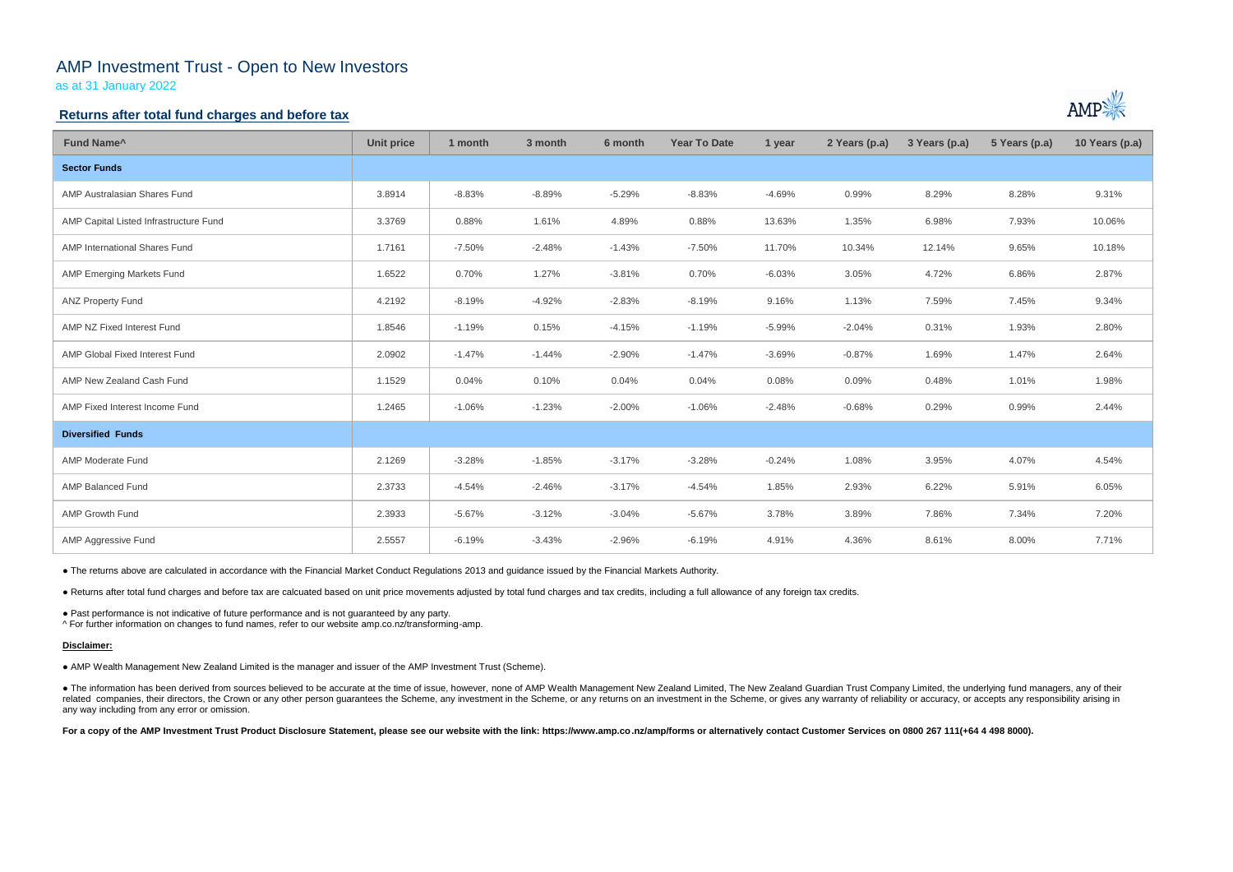# AMP Investment Trust - Open to New Investors

as at 31 January 2022

### **Returns after total fund charges and before tax**

| Fund Name <sup>^</sup>                 | <b>Unit price</b> | 1 month  | 3 month  | 6 month  | <b>Year To Date</b> | 1 year   | 2 Years (p.a) | 3 Years (p.a) | 5 Years (p.a) | 10 Years (p.a) |
|----------------------------------------|-------------------|----------|----------|----------|---------------------|----------|---------------|---------------|---------------|----------------|
| <b>Sector Funds</b>                    |                   |          |          |          |                     |          |               |               |               |                |
| AMP Australasian Shares Fund           | 3.8914            | $-8.83%$ | $-8.89%$ | $-5.29%$ | $-8.83%$            | $-4.69%$ | 0.99%         | 8.29%         | 8.28%         | 9.31%          |
| AMP Capital Listed Infrastructure Fund | 3.3769            | 0.88%    | 1.61%    | 4.89%    | 0.88%               | 13.63%   | 1.35%         | 6.98%         | 7.93%         | 10.06%         |
| AMP International Shares Fund          | 1.7161            | $-7.50%$ | $-2.48%$ | $-1.43%$ | $-7.50%$            | 11.70%   | 10.34%        | 12.14%        | 9.65%         | 10.18%         |
| AMP Emerging Markets Fund              | 1.6522            | 0.70%    | 1.27%    | $-3.81%$ | 0.70%               | $-6.03%$ | 3.05%         | 4.72%         | 6.86%         | 2.87%          |
| <b>ANZ Property Fund</b>               | 4.2192            | $-8.19%$ | $-4.92%$ | $-2.83%$ | $-8.19%$            | 9.16%    | 1.13%         | 7.59%         | 7.45%         | 9.34%          |
| AMP NZ Fixed Interest Fund             | 1.8546            | $-1.19%$ | 0.15%    | $-4.15%$ | $-1.19%$            | $-5.99%$ | $-2.04%$      | 0.31%         | 1.93%         | 2.80%          |
| AMP Global Fixed Interest Fund         | 2.0902            | $-1.47%$ | $-1.44%$ | $-2.90%$ | $-1.47%$            | $-3.69%$ | $-0.87%$      | 1.69%         | 1.47%         | 2.64%          |
| AMP New Zealand Cash Fund              | 1.1529            | 0.04%    | 0.10%    | 0.04%    | 0.04%               | 0.08%    | 0.09%         | 0.48%         | 1.01%         | 1.98%          |
| AMP Fixed Interest Income Fund         | 1.2465            | $-1.06%$ | $-1.23%$ | $-2.00%$ | $-1.06%$            | $-2.48%$ | $-0.68%$      | 0.29%         | 0.99%         | 2.44%          |
| <b>Diversified Funds</b>               |                   |          |          |          |                     |          |               |               |               |                |
| <b>AMP Moderate Fund</b>               | 2.1269            | $-3.28%$ | $-1.85%$ | $-3.17%$ | $-3.28%$            | $-0.24%$ | 1.08%         | 3.95%         | 4.07%         | 4.54%          |
| <b>AMP Balanced Fund</b>               | 2.3733            | $-4.54%$ | $-2.46%$ | $-3.17%$ | $-4.54%$            | 1.85%    | 2.93%         | 6.22%         | 5.91%         | 6.05%          |
| AMP Growth Fund                        | 2.3933            | $-5.67%$ | $-3.12%$ | $-3.04%$ | $-5.67%$            | 3.78%    | 3.89%         | 7.86%         | 7.34%         | 7.20%          |
| AMP Aggressive Fund                    | 2.5557            | $-6.19%$ | $-3.43%$ | $-2.96%$ | $-6.19%$            | 4.91%    | 4.36%         | 8.61%         | 8.00%         | 7.71%          |

• The information has been derived from sources believed to be accurate at the time of issue, however, none of AMP Wealth Management New Zealand Limited, The New Zealand Guardian Trust Company Limited, the underlying fund related companies, their directors, the Crown or any other person guarantees the Scheme, any investment in the Scheme, or any returns on an investment in the Scheme, or gives any warranty of reliability or accuracy, or acc any way including from any error or omission.

For a copy of the AMP Investment Trust Product Disclosure Statement, please see our website with the link: https://www.amp.co.nz/amp/forms or alternatively contact Customer Services on 0800 267 111(+64 4 498 8000).



● The returns above are calculated in accordance with the Financial Market Conduct Regulations 2013 and guidance issued by the Financial Markets Authority.

● Returns after total fund charges and before tax are calcuated based on unit price movements adjusted by total fund charges and tax credits, including a full allowance of any foreign tax credits.

● Past performance is not indicative of future performance and is not guaranteed by any party.

^ For further information on changes to fund names, refer to our website amp.co.nz/transforming-amp.

#### **Disclaimer:**

● AMP Wealth Management New Zealand Limited is the manager and issuer of the AMP Investment Trust (Scheme).